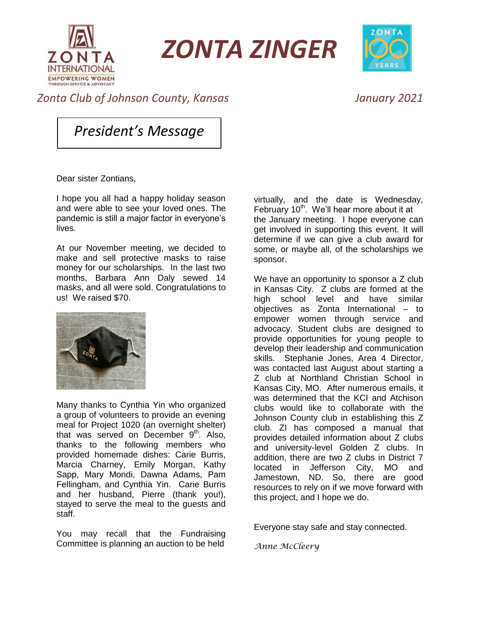

*ZONTA ZINGER*



## *Zonta Club of Johnson County, Kansas January 2021*

*President's Message*

Dear sister Zontians,

I hope you all had a happy holiday season and were able to see your loved ones. The pandemic is still a major factor in everyone's lives.

At our November meeting, we decided to make and sell protective masks to raise money for our scholarships. In the last two months, Barbara Ann Daly sewed 14 masks, and all were sold. Congratulations to us! We raised \$70.



Many thanks to Cynthia Yin who organized a group of volunteers to provide an evening meal for Project 1020 (an overnight shelter) that was served on December 9<sup>th</sup>. Also, thanks to the following members who provided homemade dishes: Carie Burris, Marcia Charney, Emily Morgan, Kathy Sapp, Mary Mondi, Dawna Adams, Pam Fellingham, and Cynthia Yin. Carie Burris and her husband, Pierre (thank you!), stayed to serve the meal to the guests and staff.

You may recall that the Fundraising Committee is planning an auction to be held

virtually, and the date is Wednesday, February  $10<sup>th</sup>$ . We'll hear more about it at the January meeting. I hope everyone can get involved in supporting this event. It will determine if we can give a club award for some, or maybe all, of the scholarships we sponsor.

We have an opportunity to sponsor a Z club in Kansas City. Z clubs are formed at the high school level and have similar objectives as Zonta International – to empower women through service and advocacy. Student clubs are designed to provide opportunities for young people to develop their leadership and communication skills. Stephanie Jones, Area 4 Director, was contacted last August about starting a Z club at Northland Christian School in Kansas City, MO. After numerous emails, it was determined that the KCI and Atchison clubs would like to collaborate with the Johnson County club in establishing this Z club. ZI has composed a manual that provides detailed information about Z clubs and university-level Golden Z clubs. In addition, there are two Z clubs in District 7 located in Jefferson City, MO and Jamestown, ND. So, there are good resources to rely on if we move forward with this project, and I hope we do.

Everyone stay safe and stay connected.

*Anne McCleery*